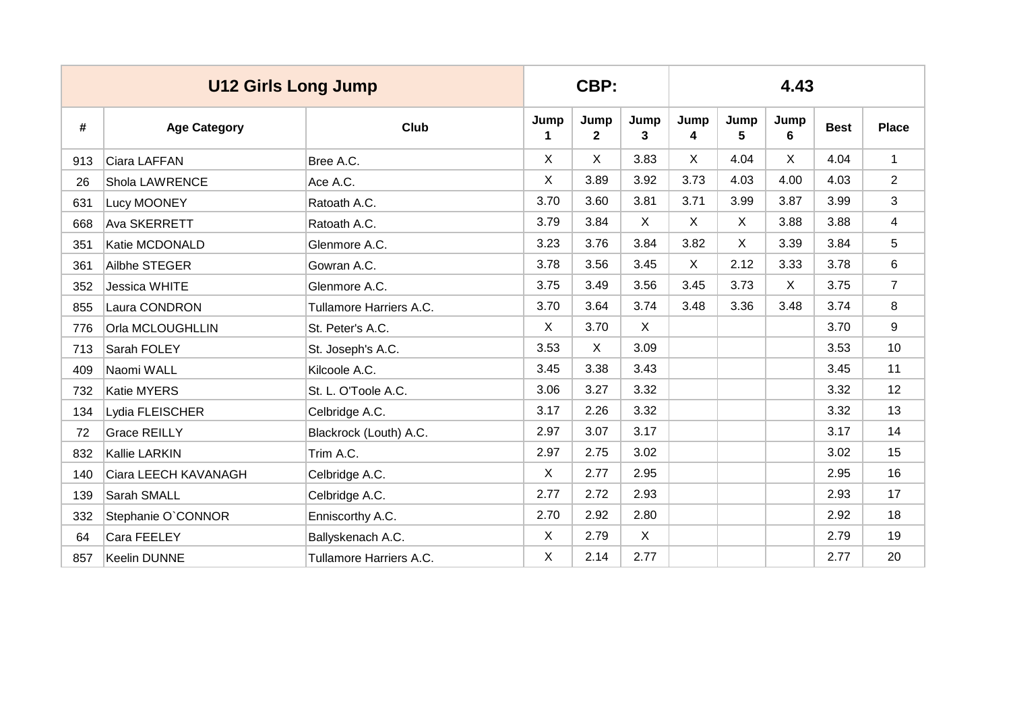|     | <b>U12 Girls Long Jump</b> |                         | CBP:         |                      |              | 4.43         |              |           |             |                |  |  |
|-----|----------------------------|-------------------------|--------------|----------------------|--------------|--------------|--------------|-----------|-------------|----------------|--|--|
| #   | <b>Age Category</b>        | Club                    | Jump<br>1    | Jump<br>$\mathbf{2}$ | Jump<br>3    | Jump<br>4    | Jump<br>5    | Jump<br>6 | <b>Best</b> | <b>Place</b>   |  |  |
| 913 | Ciara LAFFAN               | Bree A.C.               | X            | X                    | 3.83         | X            | 4.04         | X.        | 4.04        | $\mathbf{1}$   |  |  |
| 26  | Shola LAWRENCE             | Ace A.C.                | X            | 3.89                 | 3.92         | 3.73         | 4.03         | 4.00      | 4.03        | $\overline{2}$ |  |  |
| 631 | Lucy MOONEY                | Ratoath A.C.            | 3.70         | 3.60                 | 3.81         | 3.71         | 3.99         | 3.87      | 3.99        | 3              |  |  |
| 668 | Ava SKERRETT               | Ratoath A.C.            | 3.79         | 3.84                 | $\mathsf{X}$ | $\mathsf{X}$ | $\mathsf{X}$ | 3.88      | 3.88        | 4              |  |  |
| 351 | Katie MCDONALD             | Glenmore A.C.           | 3.23         | 3.76                 | 3.84         | 3.82         | $\mathsf{X}$ | 3.39      | 3.84        | 5              |  |  |
| 361 | Ailbhe STEGER              | Gowran A.C.             | 3.78         | 3.56                 | 3.45         | X            | 2.12         | 3.33      | 3.78        | 6              |  |  |
| 352 | Jessica WHITE              | Glenmore A.C.           | 3.75         | 3.49                 | 3.56         | 3.45         | 3.73         | X.        | 3.75        | $\overline{7}$ |  |  |
| 855 | Laura CONDRON              | Tullamore Harriers A.C. | 3.70         | 3.64                 | 3.74         | 3.48         | 3.36         | 3.48      | 3.74        | 8              |  |  |
| 776 | Orla MCLOUGHLLIN           | St. Peter's A.C.        | X            | 3.70                 | $\times$     |              |              |           | 3.70        | 9              |  |  |
| 713 | Sarah FOLEY                | St. Joseph's A.C.       | 3.53         | X                    | 3.09         |              |              |           | 3.53        | 10             |  |  |
| 409 | Naomi WALL                 | Kilcoole A.C.           | 3.45         | 3.38                 | 3.43         |              |              |           | 3.45        | 11             |  |  |
| 732 | <b>Katie MYERS</b>         | St. L. O'Toole A.C.     | 3.06         | 3.27                 | 3.32         |              |              |           | 3.32        | 12             |  |  |
| 134 | Lydia FLEISCHER            | Celbridge A.C.          | 3.17         | 2.26                 | 3.32         |              |              |           | 3.32        | 13             |  |  |
| 72  | <b>Grace REILLY</b>        | Blackrock (Louth) A.C.  | 2.97         | 3.07                 | 3.17         |              |              |           | 3.17        | 14             |  |  |
| 832 | Kallie LARKIN              | Trim A.C.               | 2.97         | 2.75                 | 3.02         |              |              |           | 3.02        | 15             |  |  |
| 140 | Ciara LEECH KAVANAGH       | Celbridge A.C.          | $\mathsf{X}$ | 2.77                 | 2.95         |              |              |           | 2.95        | 16             |  |  |
| 139 | Sarah SMALL                | Celbridge A.C.          | 2.77         | 2.72                 | 2.93         |              |              |           | 2.93        | 17             |  |  |
| 332 | Stephanie O'CONNOR         | Enniscorthy A.C.        | 2.70         | 2.92                 | 2.80         |              |              |           | 2.92        | 18             |  |  |
| 64  | Cara FEELEY                | Ballyskenach A.C.       | X            | 2.79                 | $\mathsf{X}$ |              |              |           | 2.79        | 19             |  |  |
| 857 | Keelin DUNNE               | Tullamore Harriers A.C. | X            | 2.14                 | 2.77         |              |              |           | 2.77        | 20             |  |  |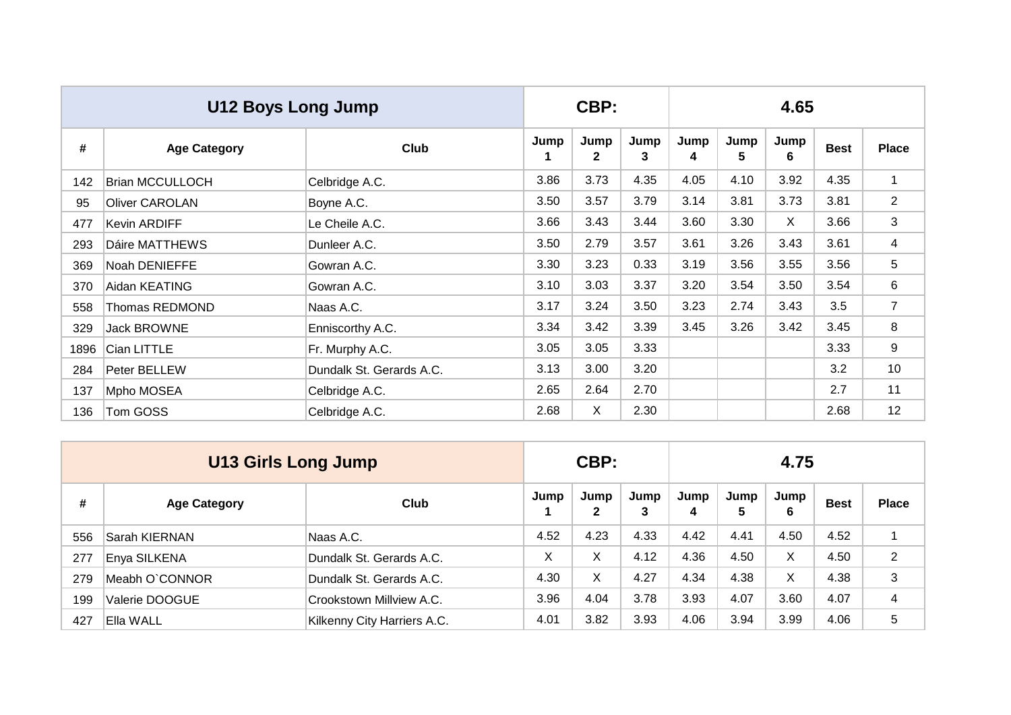|      | U12 Boys Long Jump     |                          |           | CBP:      |           | 4.65      |           |           |             |                |  |  |
|------|------------------------|--------------------------|-----------|-----------|-----------|-----------|-----------|-----------|-------------|----------------|--|--|
| #    | <b>Age Category</b>    | Club                     | Jump<br>1 | Jump<br>2 | Jump<br>3 | Jump<br>4 | Jump<br>5 | Jump<br>6 | <b>Best</b> | <b>Place</b>   |  |  |
| 142  | <b>Brian MCCULLOCH</b> | Celbridge A.C.           | 3.86      | 3.73      | 4.35      | 4.05      | 4.10      | 3.92      | 4.35        | $\mathbf{1}$   |  |  |
| 95   | <b>Oliver CAROLAN</b>  | Boyne A.C.               | 3.50      | 3.57      | 3.79      | 3.14      | 3.81      | 3.73      | 3.81        | $\overline{2}$ |  |  |
| 477  | <b>Kevin ARDIFF</b>    | Le Cheile A.C.           | 3.66      | 3.43      | 3.44      | 3.60      | 3.30      | X         | 3.66        | 3              |  |  |
| 293  | Dáire MATTHEWS         | Dunleer A.C.             | 3.50      | 2.79      | 3.57      | 3.61      | 3.26      | 3.43      | 3.61        | 4              |  |  |
| 369  | Noah DENIEFFE          | Gowran A.C.              | 3.30      | 3.23      | 0.33      | 3.19      | 3.56      | 3.55      | 3.56        | 5              |  |  |
| 370  | Aidan KEATING          | Gowran A.C.              | 3.10      | 3.03      | 3.37      | 3.20      | 3.54      | 3.50      | 3.54        | 6              |  |  |
| 558  | Thomas REDMOND         | Naas A.C.                | 3.17      | 3.24      | 3.50      | 3.23      | 2.74      | 3.43      | 3.5         | $\overline{7}$ |  |  |
| 329  | <b>Jack BROWNE</b>     | Enniscorthy A.C.         | 3.34      | 3.42      | 3.39      | 3.45      | 3.26      | 3.42      | 3.45        | 8              |  |  |
| 1896 | Cian LITTLE            | Fr. Murphy A.C.          | 3.05      | 3.05      | 3.33      |           |           |           | 3.33        | 9              |  |  |
| 284  | Peter BELLEW           | Dundalk St. Gerards A.C. | 3.13      | 3.00      | 3.20      |           |           |           | 3.2         | 10             |  |  |
| 137  | Mpho MOSEA             | Celbridge A.C.           | 2.65      | 2.64      | 2.70      |           |           |           | 2.7         | 11             |  |  |
| 136  | Tom GOSS               | Celbridge A.C.           | 2.68      | X         | 2.30      |           |           |           | 2.68        | 12             |  |  |

|     | <b>U13 Girls Long Jump</b> |                             |      | CBP:                 |           |           | 4.75      |           |             |                |  |  |  |
|-----|----------------------------|-----------------------------|------|----------------------|-----------|-----------|-----------|-----------|-------------|----------------|--|--|--|
| #   | <b>Age Category</b>        | Club                        | Jump | Jump<br>$\mathbf{2}$ | Jump<br>3 | Jump<br>4 | Jump<br>5 | Jump<br>6 | <b>Best</b> | <b>Place</b>   |  |  |  |
| 556 | Sarah KIERNAN              | Naas A.C.                   | 4.52 | 4.23                 | 4.33      | 4.42      | 4.41      | 4.50      | 4.52        |                |  |  |  |
| 277 | Enya SILKENA               | Dundalk St. Gerards A.C.    | Χ    | X                    | 4.12      | 4.36      | 4.50      | X         | 4.50        | $\overline{2}$ |  |  |  |
| 279 | Meabh O`CONNOR             | Dundalk St. Gerards A.C.    | 4.30 | X                    | 4.27      | 4.34      | 4.38      | X         | 4.38        | 3              |  |  |  |
| 199 | Valerie DOOGUE             | Crookstown Millview A.C.    | 3.96 | 4.04                 | 3.78      | 3.93      | 4.07      | 3.60      | 4.07        | 4              |  |  |  |
| 427 | Ella WALL                  | Kilkenny City Harriers A.C. | 4.01 | 3.82                 | 3.93      | 4.06      | 3.94      | 3.99      | 4.06        | 5              |  |  |  |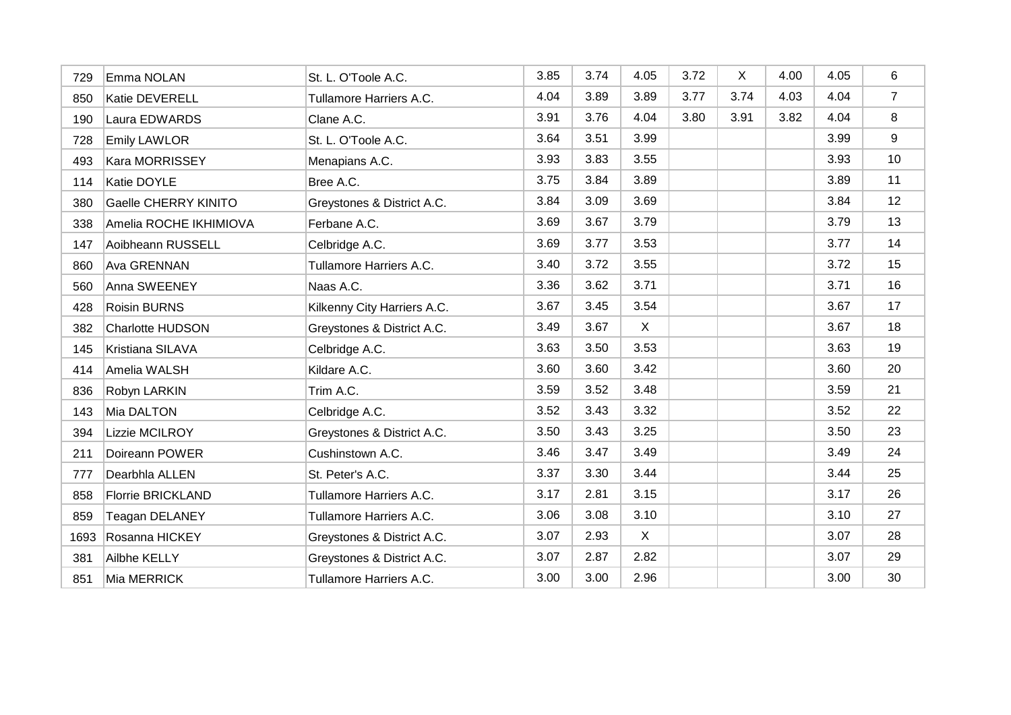| 729  | Emma NOLAN                  | St. L. O'Toole A.C.         | 3.85 | 3.74 | 4.05 | 3.72 | X    | 4.00 | 4.05 | 6              |
|------|-----------------------------|-----------------------------|------|------|------|------|------|------|------|----------------|
| 850  | Katie DEVERELL              | Tullamore Harriers A.C.     | 4.04 | 3.89 | 3.89 | 3.77 | 3.74 | 4.03 | 4.04 | $\overline{7}$ |
| 190  | Laura EDWARDS               | Clane A.C.                  | 3.91 | 3.76 | 4.04 | 3.80 | 3.91 | 3.82 | 4.04 | 8              |
| 728  | <b>Emily LAWLOR</b>         | St. L. O'Toole A.C.         | 3.64 | 3.51 | 3.99 |      |      |      | 3.99 | 9              |
| 493  | <b>Kara MORRISSEY</b>       | Menapians A.C.              | 3.93 | 3.83 | 3.55 |      |      |      | 3.93 | 10             |
| 114  | Katie DOYLE                 | Bree A.C.                   | 3.75 | 3.84 | 3.89 |      |      |      | 3.89 | 11             |
| 380  | <b>Gaelle CHERRY KINITO</b> | Greystones & District A.C.  | 3.84 | 3.09 | 3.69 |      |      |      | 3.84 | 12             |
| 338  | Amelia ROCHE IKHIMIOVA      | Ferbane A.C.                | 3.69 | 3.67 | 3.79 |      |      |      | 3.79 | 13             |
| 147  | Aoibheann RUSSELL           | Celbridge A.C.              | 3.69 | 3.77 | 3.53 |      |      |      | 3.77 | 14             |
| 860  | Ava GRENNAN                 | Tullamore Harriers A.C.     | 3.40 | 3.72 | 3.55 |      |      |      | 3.72 | 15             |
| 560  | Anna SWEENEY                | Naas A.C.                   | 3.36 | 3.62 | 3.71 |      |      |      | 3.71 | 16             |
| 428  | <b>Roisin BURNS</b>         | Kilkenny City Harriers A.C. | 3.67 | 3.45 | 3.54 |      |      |      | 3.67 | 17             |
| 382  | <b>Charlotte HUDSON</b>     | Greystones & District A.C.  | 3.49 | 3.67 | X    |      |      |      | 3.67 | 18             |
| 145  | Kristiana SILAVA            | Celbridge A.C.              | 3.63 | 3.50 | 3.53 |      |      |      | 3.63 | 19             |
| 414  | Amelia WALSH                | Kildare A.C.                | 3.60 | 3.60 | 3.42 |      |      |      | 3.60 | 20             |
| 836  | Robyn LARKIN                | Trim A.C.                   | 3.59 | 3.52 | 3.48 |      |      |      | 3.59 | 21             |
| 143  | Mia DALTON                  | Celbridge A.C.              | 3.52 | 3.43 | 3.32 |      |      |      | 3.52 | 22             |
| 394  | Lizzie MCILROY              | Greystones & District A.C.  | 3.50 | 3.43 | 3.25 |      |      |      | 3.50 | 23             |
| 211  | Doireann POWER              | Cushinstown A.C.            | 3.46 | 3.47 | 3.49 |      |      |      | 3.49 | 24             |
| 777  | Dearbhla ALLEN              | St. Peter's A.C.            | 3.37 | 3.30 | 3.44 |      |      |      | 3.44 | 25             |
| 858  | <b>Florrie BRICKLAND</b>    | Tullamore Harriers A.C.     | 3.17 | 2.81 | 3.15 |      |      |      | 3.17 | 26             |
| 859  | <b>Teagan DELANEY</b>       | Tullamore Harriers A.C.     | 3.06 | 3.08 | 3.10 |      |      |      | 3.10 | 27             |
| 1693 | Rosanna HICKEY              | Greystones & District A.C.  | 3.07 | 2.93 | X    |      |      |      | 3.07 | 28             |
| 381  | Ailbhe KELLY                | Greystones & District A.C.  | 3.07 | 2.87 | 2.82 |      |      |      | 3.07 | 29             |
| 851  | Mia MERRICK                 | Tullamore Harriers A.C.     | 3.00 | 3.00 | 2.96 |      |      |      | 3.00 | 30             |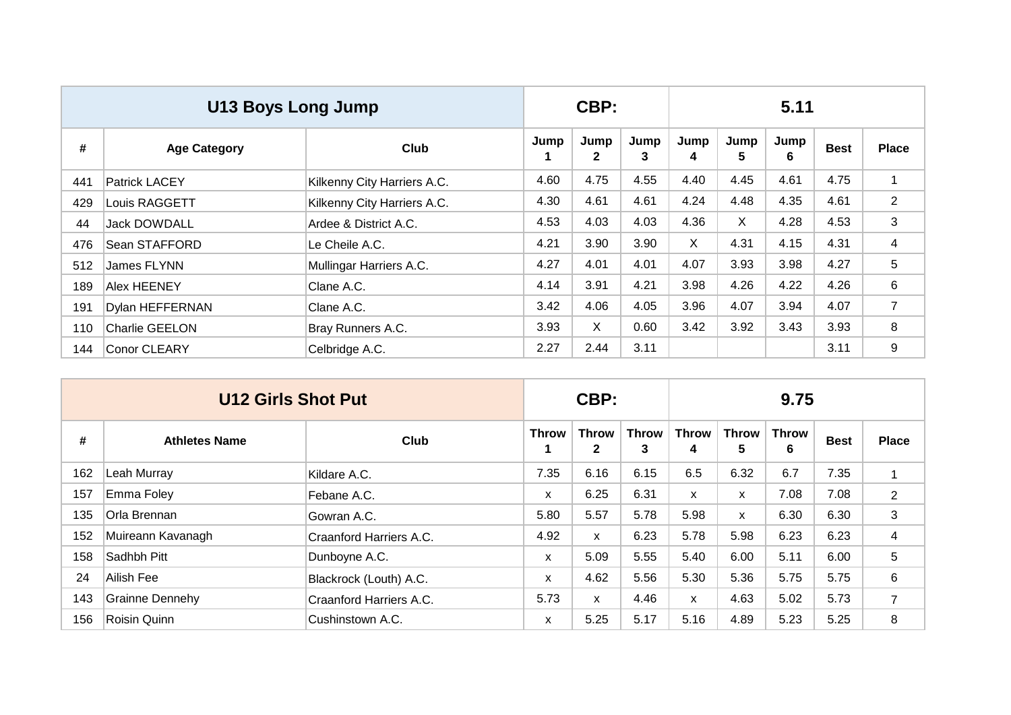|     | <b>U13 Boys Long Jump</b> |                             |      | CBP:                 |           | 5.11         |           |           |             |                |  |
|-----|---------------------------|-----------------------------|------|----------------------|-----------|--------------|-----------|-----------|-------------|----------------|--|
| #   | <b>Age Category</b>       | Club                        | Jump | Jump<br>$\mathbf{2}$ | Jump<br>3 | Jump<br>4    | Jump<br>5 | Jump<br>6 | <b>Best</b> | <b>Place</b>   |  |
| 441 | <b>Patrick LACEY</b>      | Kilkenny City Harriers A.C. | 4.60 | 4.75                 | 4.55      | 4.40         | 4.45      | 4.61      | 4.75        | $\mathbf 1$    |  |
| 429 | Louis RAGGETT             | Kilkenny City Harriers A.C. | 4.30 | 4.61                 | 4.61      | 4.24         | 4.48      | 4.35      | 4.61        | $\overline{2}$ |  |
| 44  | <b>Jack DOWDALL</b>       | Ardee & District A.C.       | 4.53 | 4.03                 | 4.03      | 4.36         | X         | 4.28      | 4.53        | 3              |  |
| 476 | Sean STAFFORD             | Le Cheile A.C.              | 4.21 | 3.90                 | 3.90      | $\mathsf{X}$ | 4.31      | 4.15      | 4.31        | 4              |  |
| 512 | James FLYNN               | Mullingar Harriers A.C.     | 4.27 | 4.01                 | 4.01      | 4.07         | 3.93      | 3.98      | 4.27        | 5              |  |
| 189 | <b>Alex HEENEY</b>        | Clane A.C.                  | 4.14 | 3.91                 | 4.21      | 3.98         | 4.26      | 4.22      | 4.26        | 6              |  |
| 191 | <b>Dylan HEFFERNAN</b>    | Clane A.C.                  | 3.42 | 4.06                 | 4.05      | 3.96         | 4.07      | 3.94      | 4.07        | $\overline{7}$ |  |
| 110 | <b>Charlie GEELON</b>     | Bray Runners A.C.           | 3.93 | $\mathsf{X}$         | 0.60      | 3.42         | 3.92      | 3.43      | 3.93        | 8              |  |
| 144 | Conor CLEARY              | Celbridge A.C.              | 2.27 | 2.44                 | 3.11      |              |           |           | 3.11        | 9              |  |

|     | <b>U12 Girls Shot Put</b> |                         |       | CBP:                         |                   |                   | 9.75              |                   |             |                |  |  |
|-----|---------------------------|-------------------------|-------|------------------------------|-------------------|-------------------|-------------------|-------------------|-------------|----------------|--|--|
| #   | <b>Athletes Name</b>      | Club                    | Throw | <b>Throw</b><br>$\mathbf{2}$ | <b>Throw</b><br>3 | <b>Throw</b><br>4 | <b>Throw</b><br>5 | <b>Throw</b><br>6 | <b>Best</b> | <b>Place</b>   |  |  |
| 162 | Leah Murray               | Kildare A.C.            | 7.35  | 6.16                         | 6.15              | 6.5               | 6.32              | 6.7               | 7.35        | 1              |  |  |
| 157 | Emma Foley                | Febane A.C.             | X     | 6.25                         | 6.31              | $\mathsf{x}$      | X                 | 7.08              | 7.08        | $\overline{2}$ |  |  |
| 135 | Orla Brennan              | Gowran A.C.             | 5.80  | 5.57                         | 5.78              | 5.98              | X                 | 6.30              | 6.30        | 3              |  |  |
| 152 | Muireann Kavanagh         | Craanford Harriers A.C. | 4.92  | X                            | 6.23              | 5.78              | 5.98              | 6.23              | 6.23        | 4              |  |  |
| 158 | Sadhbh Pitt               | Dunboyne A.C.           | X     | 5.09                         | 5.55              | 5.40              | 6.00              | 5.11              | 6.00        | 5              |  |  |
| 24  | Ailish Fee                | Blackrock (Louth) A.C.  | X     | 4.62                         | 5.56              | 5.30              | 5.36              | 5.75              | 5.75        | 6              |  |  |
| 143 | <b>Grainne Dennehy</b>    | Craanford Harriers A.C. | 5.73  | $\mathsf{x}$                 | 4.46              | $\mathsf{x}$      | 4.63              | 5.02              | 5.73        | $\overline{7}$ |  |  |
| 156 | Roisin Quinn              | Cushinstown A.C.        | X     | 5.25                         | 5.17              | 5.16              | 4.89              | 5.23              | 5.25        | 8              |  |  |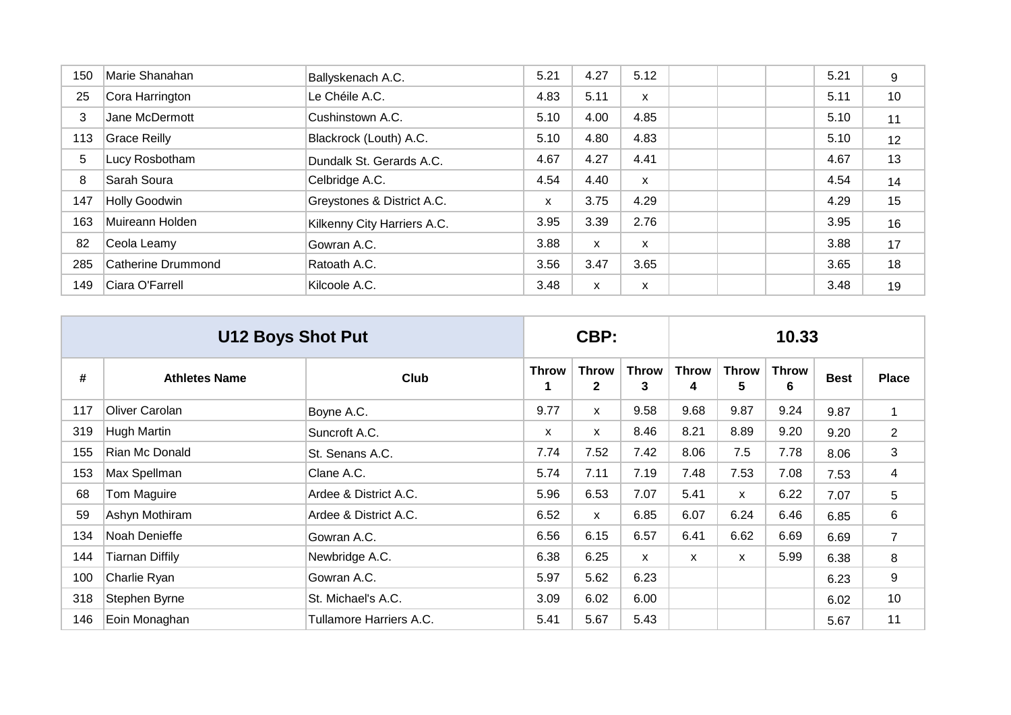| 150 | Marie Shanahan      | Ballyskenach A.C.           | 5.21 | 4.27 | 5.12         |  | 5.21 | 9  |
|-----|---------------------|-----------------------------|------|------|--------------|--|------|----|
| 25  | Cora Harrington     | Le Chéile A.C.              | 4.83 | 5.11 | X            |  | 5.11 | 10 |
| 3   | Jane McDermott      | Cushinstown A.C.            | 5.10 | 4.00 | 4.85         |  | 5.10 | 11 |
| 113 | <b>Grace Reilly</b> | Blackrock (Louth) A.C.      | 5.10 | 4.80 | 4.83         |  | 5.10 | 12 |
| 5   | Lucy Rosbotham      | Dundalk St. Gerards A.C.    | 4.67 | 4.27 | 4.41         |  | 4.67 | 13 |
| 8   | Sarah Soura         | Celbridge A.C.              | 4.54 | 4.40 | $\mathsf{x}$ |  | 4.54 | 14 |
| 147 | Holly Goodwin       | Greystones & District A.C.  | X    | 3.75 | 4.29         |  | 4.29 | 15 |
| 163 | Muireann Holden     | Kilkenny City Harriers A.C. | 3.95 | 3.39 | 2.76         |  | 3.95 | 16 |
| 82  | Ceola Leamy         | Gowran A.C.                 | 3.88 | X    | X            |  | 3.88 | 17 |
| 285 | Catherine Drummond  | Ratoath A.C.                | 3.56 | 3.47 | 3.65         |  | 3.65 | 18 |
| 149 | Ciara O'Farrell     | Kilcoole A.C.               | 3.48 | X    | X            |  | 3.48 | 19 |

|     | <b>U12 Boys Shot Put</b> |                         |              | CBP:                         |                   |                   | 10.33             |                   |             |                |  |  |
|-----|--------------------------|-------------------------|--------------|------------------------------|-------------------|-------------------|-------------------|-------------------|-------------|----------------|--|--|
| #   | <b>Athletes Name</b>     | <b>Club</b>             | <b>Throw</b> | <b>Throw</b><br>$\mathbf{2}$ | <b>Throw</b><br>3 | <b>Throw</b><br>4 | <b>Throw</b><br>5 | <b>Throw</b><br>6 | <b>Best</b> | <b>Place</b>   |  |  |
| 117 | Oliver Carolan           | Boyne A.C.              | 9.77         | X                            | 9.58              | 9.68              | 9.87              | 9.24              | 9.87        | $\mathbf{1}$   |  |  |
| 319 | <b>Hugh Martin</b>       | Suncroft A.C.           | X            | $\mathsf{x}$                 | 8.46              | 8.21              | 8.89              | 9.20              | 9.20        | $\overline{2}$ |  |  |
| 155 | Rian Mc Donald           | St. Senans A.C.         | 7.74         | 7.52                         | 7.42              | 8.06              | 7.5               | 7.78              | 8.06        | 3              |  |  |
| 153 | Max Spellman             | Clane A.C.              | 5.74         | 7.11                         | 7.19              | 7.48              | 7.53              | 7.08              | 7.53        | 4              |  |  |
| 68  | Tom Maguire              | Ardee & District A.C.   | 5.96         | 6.53                         | 7.07              | 5.41              | $\mathsf{x}$      | 6.22              | 7.07        | 5              |  |  |
| 59  | Ashyn Mothiram           | Ardee & District A.C.   | 6.52         | $\mathsf{x}$                 | 6.85              | 6.07              | 6.24              | 6.46              | 6.85        | 6              |  |  |
| 134 | Noah Denieffe            | Gowran A.C.             | 6.56         | 6.15                         | 6.57              | 6.41              | 6.62              | 6.69              | 6.69        | $\overline{7}$ |  |  |
| 144 | <b>Tiarnan Diffily</b>   | Newbridge A.C.          | 6.38         | 6.25                         | X                 | $\mathsf{x}$      | $\mathsf{x}$      | 5.99              | 6.38        | 8              |  |  |
| 100 | Charlie Ryan             | Gowran A.C.             | 5.97         | 5.62                         | 6.23              |                   |                   |                   | 6.23        | 9              |  |  |
| 318 | Stephen Byrne            | St. Michael's A.C.      | 3.09         | 6.02                         | 6.00              |                   |                   |                   | 6.02        | 10             |  |  |
| 146 | Eoin Monaghan            | Tullamore Harriers A.C. | 5.41         | 5.67                         | 5.43              |                   |                   |                   | 5.67        | 11             |  |  |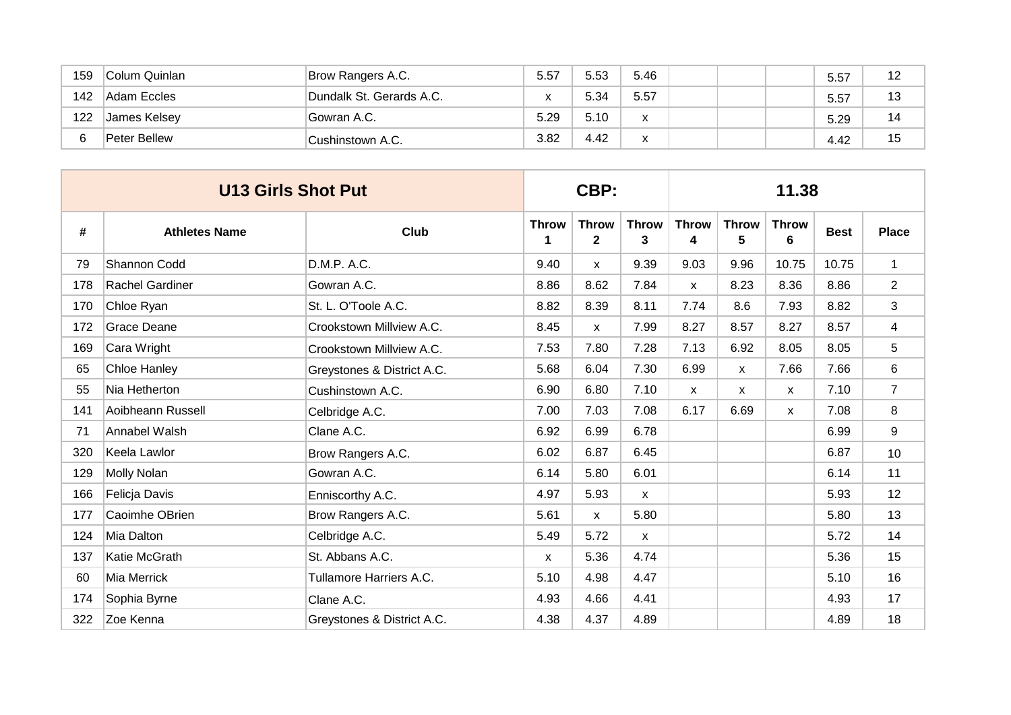| 159 | Colum Quinlan | Brow Rangers A.C.        | 5.57 | 5.53 | 5.46                                 |  | 5.57 | 12 |
|-----|---------------|--------------------------|------|------|--------------------------------------|--|------|----|
| 142 | Adam Eccles   | Dundalk St. Gerards A.C. | x    | 5.34 | 5.57                                 |  | 5.57 | 13 |
| 122 | James Kelsey  | Gowran A.C.              | 5.29 | 5.10 | $\overline{\mathbf{v}}$<br>$\lambda$ |  | 5.29 | 14 |
|     | Peter Bellew  | Cushinstown A.C.         | 3.82 | 4.42 | $\overline{\mathbf{v}}$              |  | 4.42 | 15 |

|     | <b>U13 Girls Shot Put</b> |                            | CBP:              |                              |                   | 11.38             |                   |                   |             |                |  |
|-----|---------------------------|----------------------------|-------------------|------------------------------|-------------------|-------------------|-------------------|-------------------|-------------|----------------|--|
| #   | <b>Athletes Name</b>      | <b>Club</b>                | <b>Throw</b><br>1 | <b>Throw</b><br>$\mathbf{2}$ | <b>Throw</b><br>3 | <b>Throw</b><br>4 | <b>Throw</b><br>5 | <b>Throw</b><br>6 | <b>Best</b> | <b>Place</b>   |  |
| 79  | Shannon Codd              | D.M.P. A.C.                | 9.40              | X                            | 9.39              | 9.03              | 9.96              | 10.75             | 10.75       | $\mathbf{1}$   |  |
| 178 | Rachel Gardiner           | Gowran A.C.                | 8.86              | 8.62                         | 7.84              | $\mathsf{x}$      | 8.23              | 8.36              | 8.86        | $\overline{2}$ |  |
| 170 | Chloe Ryan                | St. L. O'Toole A.C.        | 8.82              | 8.39                         | 8.11              | 7.74              | 8.6               | 7.93              | 8.82        | 3              |  |
| 172 | Grace Deane               | Crookstown Millview A.C.   | 8.45              | $\mathsf{x}$                 | 7.99              | 8.27              | 8.57              | 8.27              | 8.57        | 4              |  |
| 169 | Cara Wright               | Crookstown Millview A.C.   | 7.53              | 7.80                         | 7.28              | 7.13              | 6.92              | 8.05              | 8.05        | 5              |  |
| 65  | <b>Chloe Hanley</b>       | Greystones & District A.C. | 5.68              | 6.04                         | 7.30              | 6.99              | $\mathsf{x}$      | 7.66              | 7.66        | 6              |  |
| 55  | Nia Hetherton             | Cushinstown A.C.           | 6.90              | 6.80                         | 7.10              | $\mathsf{x}$      | $\mathsf{x}$      | $\mathsf{x}$      | 7.10        | $\overline{7}$ |  |
| 141 | Aoibheann Russell         | Celbridge A.C.             | 7.00              | 7.03                         | 7.08              | 6.17              | 6.69              | X                 | 7.08        | 8              |  |
| 71  | Annabel Walsh             | Clane A.C.                 | 6.92              | 6.99                         | 6.78              |                   |                   |                   | 6.99        | 9              |  |
| 320 | Keela Lawlor              | Brow Rangers A.C.          | 6.02              | 6.87                         | 6.45              |                   |                   |                   | 6.87        | 10             |  |
| 129 | Molly Nolan               | Gowran A.C.                | 6.14              | 5.80                         | 6.01              |                   |                   |                   | 6.14        | 11             |  |
| 166 | Felicja Davis             | Enniscorthy A.C.           | 4.97              | 5.93                         | $\mathsf{x}$      |                   |                   |                   | 5.93        | 12             |  |
| 177 | Caoimhe OBrien            | Brow Rangers A.C.          | 5.61              | $\mathsf{x}$                 | 5.80              |                   |                   |                   | 5.80        | 13             |  |
| 124 | Mia Dalton                | Celbridge A.C.             | 5.49              | 5.72                         | $\mathsf{x}$      |                   |                   |                   | 5.72        | 14             |  |
| 137 | Katie McGrath             | St. Abbans A.C.            | X                 | 5.36                         | 4.74              |                   |                   |                   | 5.36        | 15             |  |
| 60  | Mia Merrick               | Tullamore Harriers A.C.    | 5.10              | 4.98                         | 4.47              |                   |                   |                   | 5.10        | 16             |  |
| 174 | Sophia Byrne              | Clane A.C.                 | 4.93              | 4.66                         | 4.41              |                   |                   |                   | 4.93        | 17             |  |
| 322 | Zoe Kenna                 | Greystones & District A.C. | 4.38              | 4.37                         | 4.89              |                   |                   |                   | 4.89        | 18             |  |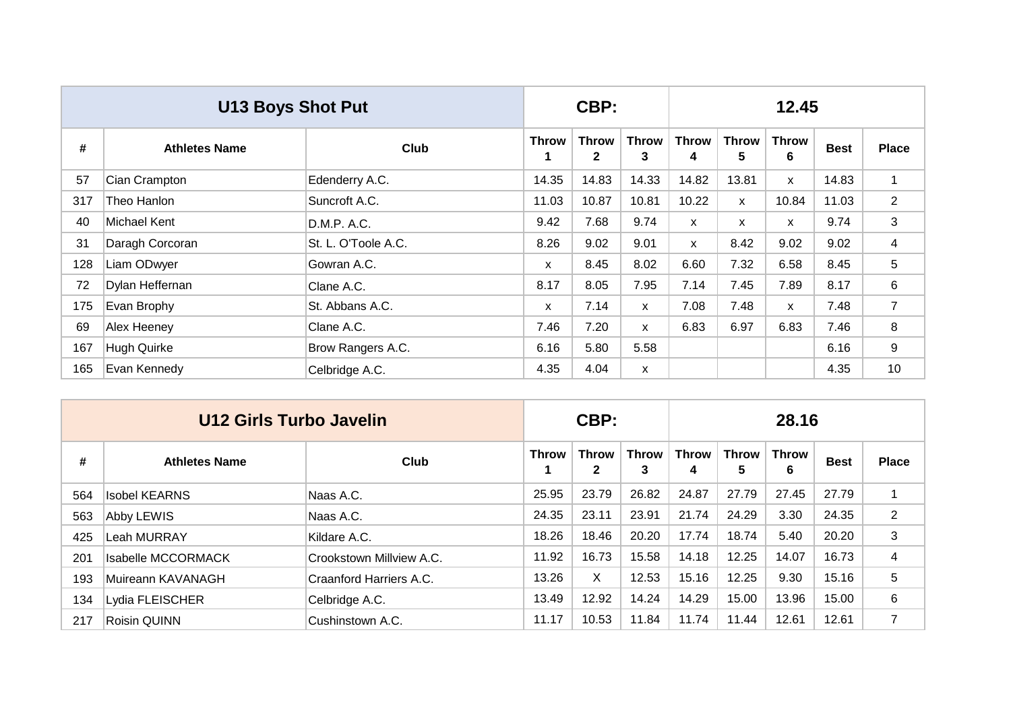|     | <b>U13 Boys Shot Put</b> |                     |              | CBP:                         |                   | 12.45             |                   |                   |             |                |  |  |
|-----|--------------------------|---------------------|--------------|------------------------------|-------------------|-------------------|-------------------|-------------------|-------------|----------------|--|--|
| #   | <b>Athletes Name</b>     | Club                | <b>Throw</b> | <b>Throw</b><br>$\mathbf{2}$ | <b>Throw</b><br>3 | <b>Throw</b><br>4 | <b>Throw</b><br>5 | <b>Throw</b><br>6 | <b>Best</b> | <b>Place</b>   |  |  |
| 57  | Cian Crampton            | Edenderry A.C.      | 14.35        | 14.83                        | 14.33             | 14.82             | 13.81             | $\mathsf{x}$      | 14.83       | 1              |  |  |
| 317 | Theo Hanlon              | Suncroft A.C.       | 11.03        | 10.87                        | 10.81             | 10.22             | X.                | 10.84             | 11.03       | $\overline{2}$ |  |  |
| 40  | Michael Kent             | D.M.P. A.C.         | 9.42         | 7.68                         | 9.74              | $\mathsf{x}$      | X                 | $\mathsf{x}$      | 9.74        | 3              |  |  |
| 31  | Daragh Corcoran          | St. L. O'Toole A.C. | 8.26         | 9.02                         | 9.01              | X.                | 8.42              | 9.02              | 9.02        | 4              |  |  |
| 128 | Liam ODwyer              | Gowran A.C.         | X            | 8.45                         | 8.02              | 6.60              | 7.32              | 6.58              | 8.45        | 5              |  |  |
| 72  | Dylan Heffernan          | Clane A.C.          | 8.17         | 8.05                         | 7.95              | 7.14              | 7.45              | 7.89              | 8.17        | 6              |  |  |
| 175 | Evan Brophy              | St. Abbans A.C.     | $\mathsf{x}$ | 7.14                         | $\mathsf{x}$      | 7.08              | 7.48              | X                 | 7.48        | 7              |  |  |
| 69  | Alex Heeney              | Clane A.C.          | 7.46         | 7.20                         | X                 | 6.83              | 6.97              | 6.83              | 7.46        | 8              |  |  |
| 167 | Hugh Quirke              | Brow Rangers A.C.   | 6.16         | 5.80                         | 5.58              |                   |                   |                   | 6.16        | 9              |  |  |
| 165 | Evan Kennedy             | Celbridge A.C.      | 4.35         | 4.04                         | X                 |                   |                   |                   | 4.35        | 10             |  |  |

|     | U12 Girls Turbo Javelin   |                          | CBP:  |                              |                   | 28.16             |            |                   |             |                |  |
|-----|---------------------------|--------------------------|-------|------------------------------|-------------------|-------------------|------------|-------------------|-------------|----------------|--|
| #   | <b>Athletes Name</b>      | Club                     | Throw | <b>Throw</b><br>$\mathbf{2}$ | <b>Throw</b><br>3 | <b>Throw</b><br>4 | Throw<br>5 | <b>Throw</b><br>6 | <b>Best</b> | <b>Place</b>   |  |
| 564 | <b>Isobel KEARNS</b>      | Naas A.C.                | 25.95 | 23.79                        | 26.82             | 24.87             | 27.79      | 27.45             | 27.79       | 1              |  |
| 563 | Abby LEWIS                | Naas A.C.                | 24.35 | 23.11                        | 23.91             | 21.74             | 24.29      | 3.30              | 24.35       | $\overline{2}$ |  |
| 425 | Leah MURRAY               | Kildare A.C.             | 18.26 | 18.46                        | 20.20             | 17.74             | 18.74      | 5.40              | 20.20       | 3              |  |
| 201 | <b>Isabelle MCCORMACK</b> | Crookstown Millview A.C. | 11.92 | 16.73                        | 15.58             | 14.18             | 12.25      | 14.07             | 16.73       | 4              |  |
| 193 | Muireann KAVANAGH         | Craanford Harriers A.C.  | 13.26 | X                            | 12.53             | 15.16             | 12.25      | 9.30              | 15.16       | 5              |  |
| 134 | Lydia FLEISCHER           | Celbridge A.C.           | 13.49 | 12.92                        | 14.24             | 14.29             | 15.00      | 13.96             | 15.00       | 6              |  |
| 217 | Roisin QUINN              | Cushinstown A.C.         | 11.17 | 10.53                        | 11.84             | 11.74             | 11.44      | 12.61             | 12.61       | $\overline{7}$ |  |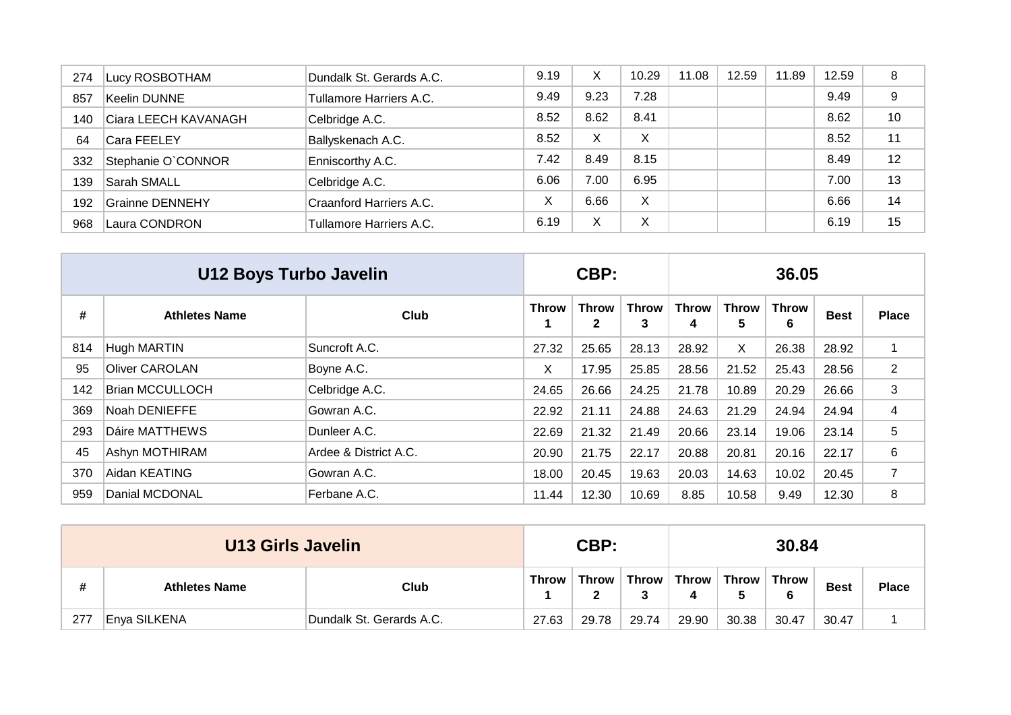| 274 | Lucy ROSBOTHAM       | Dundalk St. Gerards A.C. | 9.19 | Χ    | 10.29 | 11.08 | 12.59 | 11.89 | 12.59 | 8  |
|-----|----------------------|--------------------------|------|------|-------|-------|-------|-------|-------|----|
| 857 | Keelin DUNNE         | Tullamore Harriers A.C.  | 9.49 | 9.23 | 7.28  |       |       |       | 9.49  | 9  |
| 140 | Ciara LEECH KAVANAGH | Celbridge A.C.           | 8.52 | 8.62 | 8.41  |       |       |       | 8.62  | 10 |
| 64  | Cara FEELEY          | Ballyskenach A.C.        | 8.52 | X    | X     |       |       |       | 8.52  | 11 |
| 332 | Stephanie O`CONNOR   | Enniscorthy A.C.         | 7.42 | 8.49 | 8.15  |       |       |       | 8.49  | 12 |
| 139 | Sarah SMALL          | Celbridge A.C.           | 6.06 | 7.00 | 6.95  |       |       |       | 7.00  | 13 |
| 192 | Grainne DENNEHY      | Craanford Harriers A.C.  | Х    | 6.66 | X     |       |       |       | 6.66  | 14 |
| 968 | Laura CONDRON        | Tullamore Harriers A.C.  | 6.19 | X    | Χ     |       |       |       | 6.19  | 15 |

|     | U12 Boys Turbo Javelin |                       |              | CBP:              |                   |                   |                   | 36.05             |             |                |
|-----|------------------------|-----------------------|--------------|-------------------|-------------------|-------------------|-------------------|-------------------|-------------|----------------|
| #   | <b>Athletes Name</b>   | Club                  | <b>Throw</b> | <b>Throw</b><br>2 | <b>Throw</b><br>3 | <b>Throw</b><br>4 | <b>Throw</b><br>5 | <b>Throw</b><br>6 | <b>Best</b> | <b>Place</b>   |
| 814 | Hugh MARTIN            | Suncroft A.C.         | 27.32        | 25.65             | 28.13             | 28.92             | X                 | 26.38             | 28.92       |                |
| 95  | <b>Oliver CAROLAN</b>  | Boyne A.C.            | X            | 17.95             | 25.85             | 28.56             | 21.52             | 25.43             | 28.56       | $\overline{2}$ |
| 142 | <b>Brian MCCULLOCH</b> | Celbridge A.C.        | 24.65        | 26.66             | 24.25             | 21.78             | 10.89             | 20.29             | 26.66       | 3              |
| 369 | Noah DENIEFFE          | Gowran A.C.           | 22.92        | 21.11             | 24.88             | 24.63             | 21.29             | 24.94             | 24.94       | 4              |
| 293 | <b>Dáire MATTHEWS</b>  | Dunleer A.C.          | 22.69        | 21.32             | 21.49             | 20.66             | 23.14             | 19.06             | 23.14       | 5              |
| 45  | Ashyn MOTHIRAM         | Ardee & District A.C. | 20.90        | 21.75             | 22.17             | 20.88             | 20.81             | 20.16             | 22.17       | 6              |
| 370 | Aidan KEATING          | Gowran A.C.           | 18.00        | 20.45             | 19.63             | 20.03             | 14.63             | 10.02             | 20.45       | 7              |
| 959 | Danial MCDONAL         | Ferbane A.C.          | 11.44        | 12.30             | 10.69             | 8.85              | 10.58             | 9.49              | 12.30       | 8              |

|     | <b>U13 Girls Javelin</b> |                          |                   | CBP:  |       |                               |       | 30.84       |              |  |
|-----|--------------------------|--------------------------|-------------------|-------|-------|-------------------------------|-------|-------------|--------------|--|
| #   | <b>Athletes Name</b>     | <b>Throw</b>             | Throw $\mathsf I$ | w     |       | Throw   Throw   Throw   Throw | 6     | <b>Best</b> | <b>Place</b> |  |
| 277 | Enya SILKENA             | Dundalk St. Gerards A.C. | 27.63             | 29.78 | 29.74 | 29.90                         | 30.38 | 30.47       | 30.47        |  |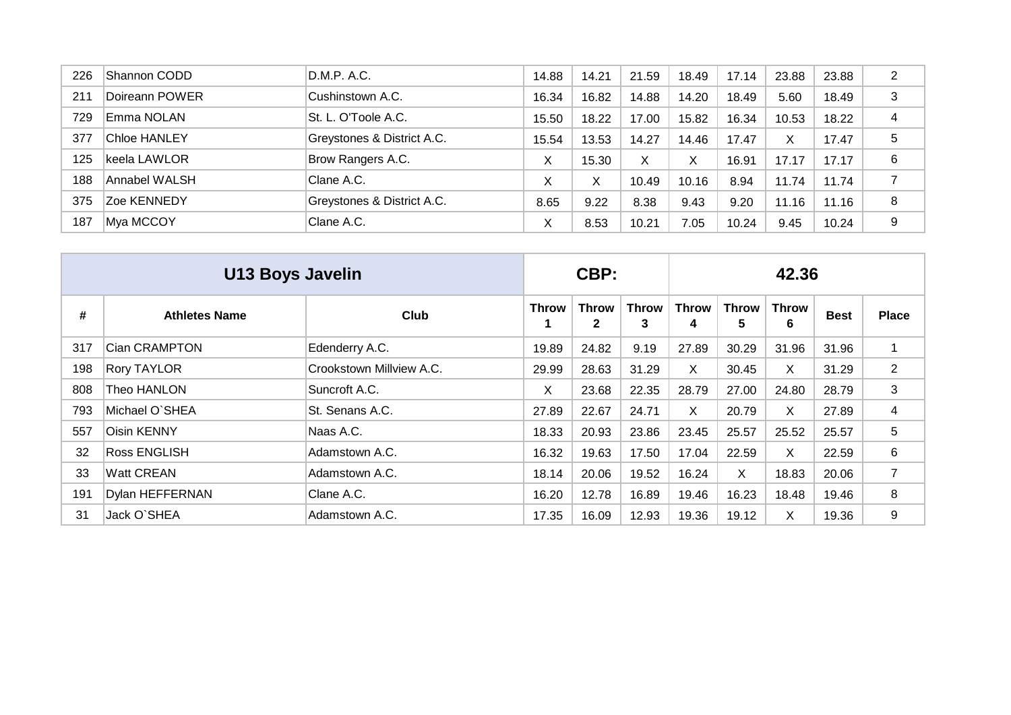| 226 | Shannon CODD        | D.M.P. A.C.                | 14.88 | 14.21 | 21.59 | 18.49 | 17.14 | 23.88 | 23.88 | 2 |
|-----|---------------------|----------------------------|-------|-------|-------|-------|-------|-------|-------|---|
| 211 | Doireann POWER      | Cushinstown A.C.           | 16.34 | 16.82 | 14.88 | 14.20 | 18.49 | 5.60  | 18.49 | 3 |
| 729 | Emma NOLAN          | St. L. O'Toole A.C.        | 15.50 | 18.22 | 17.00 | 15.82 | 16.34 | 10.53 | 18.22 | 4 |
| 377 | <b>Chloe HANLEY</b> | Greystones & District A.C. | 15.54 | 13.53 | 14.27 | 14.46 | 17.47 | X     | 17.47 | 5 |
| 125 | lkeela LAWLOR       | Brow Rangers A.C.          | X     | 15.30 | X     |       | 16.91 | 17.17 | 17.17 | 6 |
| 188 | Annabel WALSH       | Clane A.C.                 | X     | X     | 10.49 | 10.16 | 8.94  | 11.74 | 11.74 | 7 |
| 375 | Zoe KENNEDY         | Greystones & District A.C. | 8.65  | 9.22  | 8.38  | 9.43  | 9.20  | 11.16 | 11.16 | 8 |
| 187 | Mya MCCOY           | Clane A.C.                 | X     | 8.53  | 10.21 | 7.05  | 10.24 | 9.45  | 10.24 | 9 |

|     | <b>U13 Boys Javelin</b> |                          |              | CBP:                         |                   |                   |                   | 42.36             |             |                |
|-----|-------------------------|--------------------------|--------------|------------------------------|-------------------|-------------------|-------------------|-------------------|-------------|----------------|
| #   | <b>Athletes Name</b>    | Club                     | <b>Throw</b> | <b>Throw</b><br>$\mathbf{2}$ | <b>Throw</b><br>3 | <b>Throw</b><br>4 | <b>Throw</b><br>5 | <b>Throw</b><br>6 | <b>Best</b> | <b>Place</b>   |
| 317 | Cian CRAMPTON           | Edenderry A.C.           | 19.89        | 24.82                        | 9.19              | 27.89             | 30.29             | 31.96             | 31.96       |                |
| 198 | <b>Rory TAYLOR</b>      | Crookstown Millview A.C. | 29.99        | 28.63                        | 31.29             | X.                | 30.45             | X.                | 31.29       | $\overline{2}$ |
| 808 | Theo HANLON             | Suncroft A.C.            | X            | 23.68                        | 22.35             | 28.79             | 27.00             | 24.80             | 28.79       | 3              |
| 793 | Michael O'SHEA          | St. Senans A.C.          | 27.89        | 22.67                        | 24.71             | X                 | 20.79             | X.                | 27.89       | 4              |
| 557 | <b>Oisin KENNY</b>      | Naas A.C.                | 18.33        | 20.93                        | 23.86             | 23.45             | 25.57             | 25.52             | 25.57       | 5              |
| 32  | <b>Ross ENGLISH</b>     | Adamstown A.C.           | 16.32        | 19.63                        | 17.50             | 17.04             | 22.59             | X.                | 22.59       | 6              |
| 33  | Watt CREAN              | Adamstown A.C.           | 18.14        | 20.06                        | 19.52             | 16.24             | X                 | 18.83             | 20.06       | 7              |
| 191 | <b>Dylan HEFFERNAN</b>  | Clane A.C.               | 16.20        | 12.78                        | 16.89             | 19.46             | 16.23             | 18.48             | 19.46       | 8              |
| 31  | Jack O'SHEA             | Adamstown A.C.           | 17.35        | 16.09                        | 12.93             | 19.36             | 19.12             | X                 | 19.36       | 9              |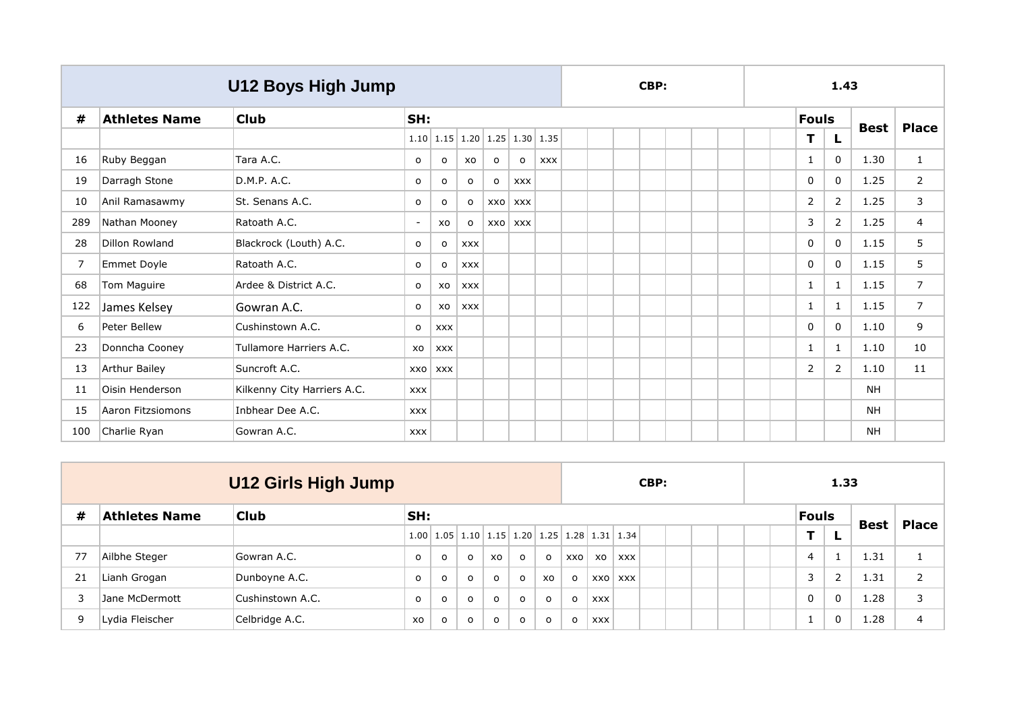|     |                       | U12 Boys High Jump          |                          |            |            |              |                                                     |            |  | CBP: |  |  |              | 1.43         |             |                |
|-----|-----------------------|-----------------------------|--------------------------|------------|------------|--------------|-----------------------------------------------------|------------|--|------|--|--|--------------|--------------|-------------|----------------|
| #   | <b>Athletes Name</b>  | <b>Club</b>                 | SH:                      |            |            |              |                                                     |            |  |      |  |  | <b>Fouls</b> |              | <b>Best</b> | <b>Place</b>   |
|     |                       |                             |                          |            |            |              | $1.10$   $1.15$   $1.20$   $1.25$   $1.30$   $1.35$ |            |  |      |  |  | T            | L            |             |                |
| 16  | Ruby Beggan           | Tara A.C.                   | $\circ$                  | о          | XO         | $\mathsf{o}$ | $\mathsf{o}$                                        | <b>XXX</b> |  |      |  |  | $\mathbf{1}$ | $\mathbf{0}$ | 1.30        | $\mathbf{1}$   |
| 19  | Darragh Stone         | D.M.P. A.C.                 | $\circ$                  | $\circ$    | $\circ$    | $\mathsf{o}$ | <b>XXX</b>                                          |            |  |      |  |  | $\mathbf 0$  | $\Omega$     | 1.25        | $\overline{2}$ |
| 10  | Anil Ramasawmy        | St. Senans A.C.             | o                        | $\circ$    | $\circ$    | XXO          | <b>XXX</b>                                          |            |  |      |  |  | 2            | 2            | 1.25        | 3              |
| 289 | Nathan Mooney         | Ratoath A.C.                | $\overline{\phantom{a}}$ | XO         | $\circ$    | XXO          | <b>XXX</b>                                          |            |  |      |  |  | 3            | 2            | 1.25        | $\overline{4}$ |
| 28  | <b>Dillon Rowland</b> | Blackrock (Louth) A.C.      | $\circ$                  | $\circ$    | <b>XXX</b> |              |                                                     |            |  |      |  |  | $\mathbf 0$  | $\Omega$     | 1.15        | 5              |
| 7   | Emmet Doyle           | Ratoath A.C.                | $\circ$                  | $\circ$    | <b>XXX</b> |              |                                                     |            |  |      |  |  | $\mathbf 0$  | $\Omega$     | 1.15        | 5              |
| 68  | Tom Maguire           | Ardee & District A.C.       | $\circ$                  | XO         | <b>XXX</b> |              |                                                     |            |  |      |  |  | $\mathbf{1}$ | 1            | 1.15        | $\overline{7}$ |
| 122 | James Kelsey          | Gowran A.C.                 | $\circ$                  | XO         | <b>XXX</b> |              |                                                     |            |  |      |  |  | $\mathbf{1}$ | 1            | 1.15        | $\overline{7}$ |
| 6   | Peter Bellew          | Cushinstown A.C.            | $\circ$                  | <b>XXX</b> |            |              |                                                     |            |  |      |  |  | $\mathbf 0$  | $\Omega$     | 1.10        | 9              |
| 23  | Donncha Cooney        | Tullamore Harriers A.C.     | XO                       | <b>XXX</b> |            |              |                                                     |            |  |      |  |  | 1            | -1           | 1.10        | 10             |
| 13  | <b>Arthur Bailey</b>  | Suncroft A.C.               | XXO                      | <b>XXX</b> |            |              |                                                     |            |  |      |  |  | 2            | 2            | 1.10        | 11             |
| 11  | Oisin Henderson       | Kilkenny City Harriers A.C. | <b>XXX</b>               |            |            |              |                                                     |            |  |      |  |  |              |              | <b>NH</b>   |                |
| 15  | Aaron Fitzsiomons     | Inbhear Dee A.C.            | <b>XXX</b>               |            |            |              |                                                     |            |  |      |  |  |              |              | NΗ          |                |
| 100 | Charlie Ryan          | Gowran A.C.                 | <b>XXX</b>               |            |            |              |                                                     |            |  |      |  |  |              |              | <b>NH</b>   |                |

|    |                      | <b>U12 Girls High Jump</b> |                     |         |          |           |              |                                                                                                        |         |            |         | CBP: |  |  |                | 1.33           |             |                |
|----|----------------------|----------------------------|---------------------|---------|----------|-----------|--------------|--------------------------------------------------------------------------------------------------------|---------|------------|---------|------|--|--|----------------|----------------|-------------|----------------|
| #  | <b>Athletes Name</b> | <b>Club</b>                | SH:                 |         |          |           |              |                                                                                                        |         |            |         |      |  |  | <b>Fouls</b>   |                |             | <b>Place</b>   |
|    |                      |                            | $1.00$ $ $          |         |          |           |              | $\mid$ 1.05 $\mid$ 1.10 $\mid$ 1.15 $\mid$ 1.20 $\mid$ 1.25 $\mid$ 1.28 $\mid$ 1.31 $\mid$ 1.34 $\mid$ |         |            |         |      |  |  | т              | L              | <b>Best</b> |                |
| 77 | Ailbhe Steger        | Gowran A.C.                | $\circ$             | $\circ$ | $\circ$  | <b>XO</b> | $\circ$      | $\circ$                                                                                                | XXO     | xo         | XXX     |      |  |  | $\overline{4}$ |                | 1.31        |                |
| 21 | Lianh Grogan         | Dunboyne A.C.              | $\circ$             | $\circ$ | $\circ$  | $\Omega$  | $\circ$      | xo                                                                                                     | $\circ$ |            | XXO XXX |      |  |  | 3              | $\overline{2}$ | 1.31        | 2              |
|    | Jane McDermott       | Cushinstown A.C.           | $\mathsf{o}\xspace$ | $\circ$ | $\Omega$ | $\Omega$  | $\mathsf{o}$ | $\mathsf{o}$                                                                                           | $\circ$ | <b>XXX</b> |         |      |  |  | $\mathbf 0$    | 0              | 1.28        | 3              |
| 9  | Lydia Fleischer      | Celbridge A.C.             | XO                  | $\circ$ | $\circ$  | O         | $\mathsf{o}$ | $\circ$                                                                                                | $\circ$ | <b>XXX</b> |         |      |  |  |                | 0              | 1.28        | $\overline{4}$ |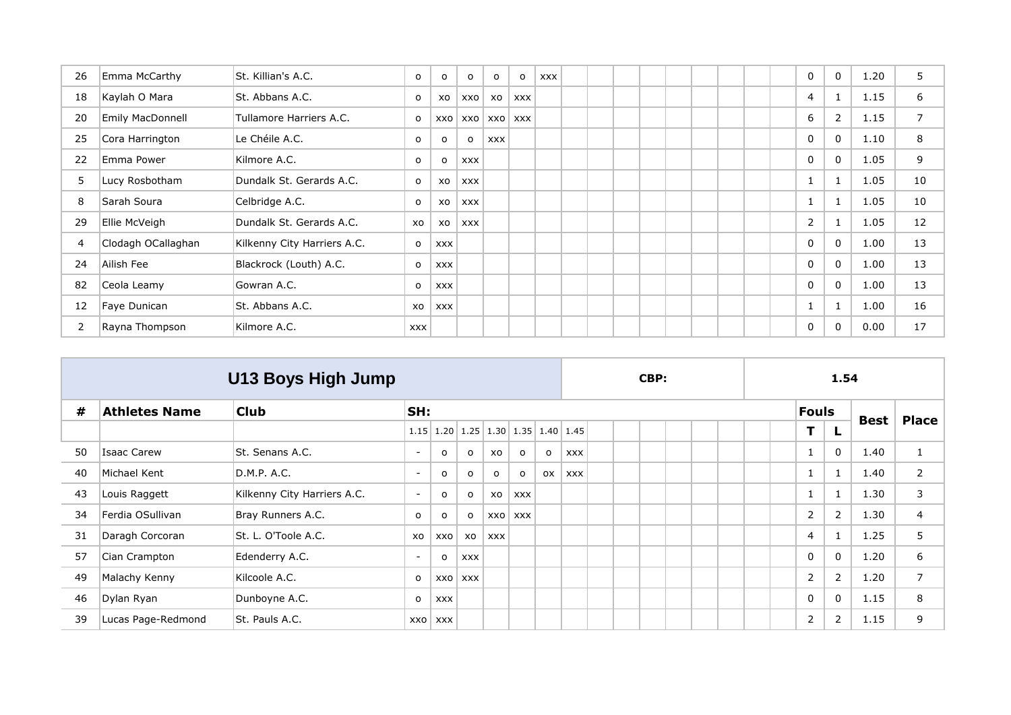| 26 | Emma McCarthy      | St. Killian's A.C.          | $\mathsf{o}\,$ | $\circ$    | $\circ$    | $\mathsf{o}$   | $\circ$    | <b>XXX</b> |  |  |  |  | 0           | $\Omega$       | 1.20 | 5              |
|----|--------------------|-----------------------------|----------------|------------|------------|----------------|------------|------------|--|--|--|--|-------------|----------------|------|----------------|
| 18 | Kaylah O Mara      | St. Abbans A.C.             | $\circ$        | XO         | xxo        | xo             | <b>XXX</b> |            |  |  |  |  | 4           | 1              | 1.15 | 6              |
| 20 | Emily MacDonnell   | Tullamore Harriers A.C.     | o              | xxo        |            | <b>XXO XXO</b> | <b>XXX</b> |            |  |  |  |  | 6           | $\overline{2}$ | 1.15 | $\overline{7}$ |
| 25 | Cora Harrington    | Le Chéile A.C.              | $\mathsf{o}\,$ | $\circ$    | $\circ$    | <b>XXX</b>     |            |            |  |  |  |  | 0           | $\Omega$       | 1.10 | 8              |
| 22 | Emma Power         | Kilmore A.C.                | $\circ$        | $\Omega$   | <b>XXX</b> |                |            |            |  |  |  |  | 0           | $\Omega$       | 1.05 | 9              |
| 5  | Lucy Rosbotham     | Dundalk St. Gerards A.C.    | $\mathsf{o}$   | XO         | <b>XXX</b> |                |            |            |  |  |  |  |             | $\mathbf{1}$   | 1.05 | 10             |
| 8  | Sarah Soura        | Celbridge A.C.              | o              | XO         | <b>XXX</b> |                |            |            |  |  |  |  | $\mathbf 1$ | $\mathbf{1}$   | 1.05 | 10             |
| 29 | Ellie McVeigh      | Dundalk St. Gerards A.C.    | XO             | XO         | <b>XXX</b> |                |            |            |  |  |  |  | 2           |                | 1.05 | 12             |
| 4  | Clodagh OCallaghan | Kilkenny City Harriers A.C. | $\mathsf{o}$   | <b>XXX</b> |            |                |            |            |  |  |  |  | $\mathbf 0$ | $\Omega$       | 1.00 | 13             |
| 24 | Ailish Fee         | Blackrock (Louth) A.C.      | o              | <b>XXX</b> |            |                |            |            |  |  |  |  | 0           | $\Omega$       | 1.00 | 13             |
| 82 | Ceola Leamy        | Gowran A.C.                 | $\circ$        | <b>XXX</b> |            |                |            |            |  |  |  |  | 0           | $\Omega$       | 1.00 | 13             |
| 12 | Faye Dunican       | St. Abbans A.C.             | XO             | <b>XXX</b> |            |                |            |            |  |  |  |  | -1          | $\mathbf{1}$   | 1.00 | 16             |
| 2  | Rayna Thompson     | Kilmore A.C.                | <b>XXX</b>     |            |            |                |            |            |  |  |  |  | 0           | 0              | 0.00 | 17             |

|    |                      | U13 Boys High Jump          |                          |            |            |              |                                                  |         |            |  | CBP: |  |  |                | 1.54           |      |                |
|----|----------------------|-----------------------------|--------------------------|------------|------------|--------------|--------------------------------------------------|---------|------------|--|------|--|--|----------------|----------------|------|----------------|
| #  | <b>Athletes Name</b> | <b>Club</b>                 | SH:                      |            |            |              |                                                  |         |            |  |      |  |  | <b>Fouls</b>   |                | Best | <b>Place</b>   |
|    |                      |                             |                          |            |            |              | $1.15$   1.20   1.25   1.30   1.35   1.40   1.45 |         |            |  |      |  |  | т              |                |      |                |
| 50 | <b>Isaac Carew</b>   | St. Senans A.C.             | $\sim$                   | o          | $\circ$    | <b>XO</b>    | $\circ$                                          | $\circ$ | <b>XXX</b> |  |      |  |  | 1              | $\Omega$       | 1.40 | $\mathbf{1}$   |
| 40 | Michael Kent         | D.M.P. A.C.                 | $\sim$                   | o          | O          | $\mathsf{o}$ | $\circ$                                          | 0X      | <b>XXX</b> |  |      |  |  | 1              |                | 1.40 | 2              |
| 43 | Louis Raggett        | Kilkenny City Harriers A.C. | $\overline{\phantom{a}}$ | $\circ$    | $\circ$    | X0           | <b>XXX</b>                                       |         |            |  |      |  |  | 1              | $\mathbf{1}$   | 1.30 | 3              |
| 34 | Ferdia OSullivan     | Bray Runners A.C.           | $\circ$                  | o          | o          | XXO          | <b>XXX</b>                                       |         |            |  |      |  |  | $\overline{2}$ | 2              | 1.30 | $\overline{4}$ |
| 31 | Daragh Corcoran      | St. L. O'Toole A.C.         | XO                       | XXO        | XO         | <b>XXX</b>   |                                                  |         |            |  |      |  |  | $\overline{4}$ |                | 1.25 | 5              |
| 57 | Cian Crampton        | Edenderry A.C.              | $\sim$                   | o          | <b>XXX</b> |              |                                                  |         |            |  |      |  |  | 0              | 0              | 1.20 | 6              |
| 49 | Malachy Kenny        | Kilcoole A.C.               | o                        |            | XXO XXX    |              |                                                  |         |            |  |      |  |  | 2              | $\overline{2}$ | 1.20 | $\overline{7}$ |
| 46 | Dylan Ryan           | Dunboyne A.C.               | $\circ$                  | <b>XXX</b> |            |              |                                                  |         |            |  |      |  |  | $\mathbf 0$    | $\mathbf{0}$   | 1.15 | 8              |
| 39 | Lucas Page-Redmond   | St. Pauls A.C.              | XXO                      | XXX        |            |              |                                                  |         |            |  |      |  |  | 2              | $\overline{2}$ | 1.15 | 9              |